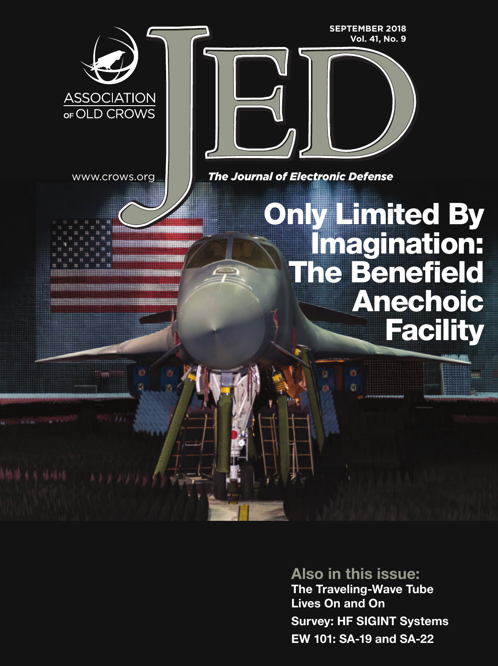

Also in this issue: [The Traveling-Wave Tube](#page-1-0)  Lives On and On Survey: HF SIGINT Systems EW 101: SA-19 and SA-22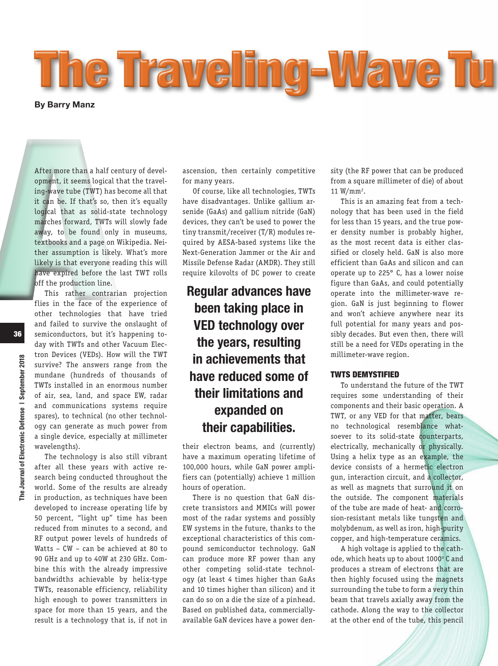<span id="page-1-0"></span>

After more than a half ce<br>
opment, it seems logical<br>
ing-wave tube (TWT) has<br>
it can be. If that's so, tl<br>
logical that as solid-st<br>
marches forward, TWTs v<br>
away, to be found only<br>
textbooks and a page on<br>
ther assumption After more than a half century of development, it seems logical that the traveling-wave tube (TWT) has become all that it can be. If that's so, then it's equally logical that as solid-state technology marches forward, TWTs will slowly fade away, to be found only in museums, textbooks and a page on Wikipedia. Neither assumption is likely. What's more likely is that everyone reading this will have expired before the last TWT rolls off the production line.

This rather contrarian projection flies in the face of the experience of other technologies that have tried and failed to survive the onslaught of semiconductors, but it's happening today with TWTs and other Vacuum Electron Devices (VEDs). How will the TWT survive? The answers range from the mundane (hundreds of thousands of TWTs installed in an enormous number of air, sea, land, and space EW, radar and communications systems require spares), to technical (no other technology can generate as much power from a single device, especially at millimeter wavelengths).

The technology is also still vibrant after all these years with active research being conducted throughout the world. Some of the results are already in production, as techniques have been developed to increase operating life by 50 percent, "light up" time has been reduced from minutes to a second, and RF output power levels of hundreds of Watts – CW – can be achieved at 80 to 90 GHz and up to 40W at 230 GHz. Combine this with the already impressive bandwidths achievable by helix-type TWTs, reasonable efficiency, reliability high enough to power transmitters in space for more than 15 years, and the result is a technology that is, if not in

ascension, then certainly competitive for many years.

Of course, like all technologies, TWTs have disadvantages. Unlike gallium arsenide (GaAs) and gallium nitride (GaN) devices, they can't be used to power the tiny transmit/receiver (T/R) modules required by AESA-based systems like the Next-Generation Jammer or the Air and Missile Defense Radar (AMDR). They still require kilovolts of DC power to create

# Regular advances have been taking place in VED technology over the years, resulting in achievements that have reduced some of their limitations and expanded on their capabilities.

their electron beams, and (currently) have a maximum operating lifetime of 100,000 hours, while GaN power amplifiers can (potentially) achieve 1 million hours of operation.

There is no question that GaN discrete transistors and MMICs will power most of the radar systems and possibly EW systems in the future, thanks to the exceptional characteristics of this compound semiconductor technology. GaN can produce more RF power than any other competing solid-state technology (at least 4 times higher than GaAs and 10 times higher than silicon) and it can do so on a die the size of a pinhead. Based on published data, commerciallyavailable GaN devices have a power density (the RF power that can be produced from a square millimeter of die) of about 11 W/mm<sup>2</sup>.

This is an amazing feat from a technology that has been used in the field for less than 15 years, and the true power density number is probably higher, as the most recent data is either classified or closely held. GaN is also more efficient than GaAs and silicon and can operate up to 225° C, has a lower noise figure than GaAs, and could potentially operate into the millimeter-wave region. GaN is just beginning to flower and won't achieve anywhere near its full potential for many years and possibly decades. But even then, there will still be a need for VEDs operating in the millimeter-wave region.

#### TWTS DEMYSTIFIED

To understand the future of the TWT requires some understanding of their components and their basic operation. A TWT, or any VED for that matter, bears no technological resemblance whatsoever to its solid-state counterparts, electrically, mechanically or physically. Using a helix type as an example, the device consists of a hermetic electron gun, interaction circuit, and a collector, as well as magnets that surround it on the outside. The component materials of the tube are made of heat- and corrosion-resistant metals like tungsten and molybdenum, as well as iron, high-purity copper, and high-temperature ceramics.

A high voltage is applied to the cathode, which heats up to about 1000° C and produces a stream of electrons that are then highly focused using the magnets surrounding the tube to form a very thin beam that travels axially away from the cathode. Along the way to the collector at the other end of the tube, this pencil

The Journal of Electronic Defense | September 2018

The Journal of Electronic Defense | September 2018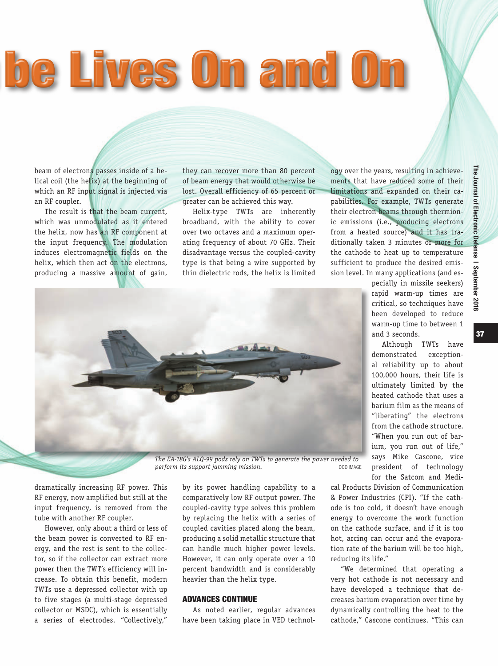The Journal of Electronic Defense | September 2018

September 2018

Journal of Electronic Defense I

딣

# **The Lives On and O**

beam of electrons passes inside of a helical coil (the helix) at the beginning of which an RF input signal is injected via an RF coupler.

The result is that the beam current, which was unmodulated as it entered the helix, now has an RF component at the input frequency. The modulation induces electromagnetic fields on the helix, which then act on the electrons, producing a massive amount of gain,

they can recover more than 80 percent of beam energy that would otherwise be lost. Overall efficiency of 65 percent or greater can be achieved this way.

Helix-type TWTs are inherently broadband, with the ability to cover over two octaves and a maximum operating frequency of about 70 GHz. Their disadvantage versus the coupled-cavity type is that being a wire supported by thin dielectric rods, the helix is limited

ogy over the years, resulting in achievements that have reduced some of their limitations and expanded on their capabilities. For example, TWTs generate their electron beams through thermionic emissions (i.e., producing electrons from a heated source) and it has traditionally taken 3 minutes or more for the cathode to heat up to temperature sufficient to produce the desired emission level. In many applications (and es-

*The EA-18G's ALQ-99 pods rely on TWTs to generate the power needed to perform its support jamming mission.* 

dramatically increasing RF power. This RF energy, now amplified but still at the input frequency, is removed from the tube with another RF coupler.

However, only about a third or less of the beam power is converted to RF energy, and the rest is sent to the collector, so if the collector can extract more power then the TWT's efficiency will increase. To obtain this benefit, modern TWTs use a depressed collector with up to five stages (a multi-stage depressed collector or MSDC), which is essentially a series of electrodes. "Collectively,"

by its power handling capability to a comparatively low RF output power. The coupled-cavity type solves this problem by replacing the helix with a series of coupled cavities placed along the beam, producing a solid metallic structure that can handle much higher power levels. However, it can only operate over a 10 percent bandwidth and is considerably heavier than the helix type.

#### ADVANCES CONTINUE

As noted earlier, regular advances have been taking place in VED technolpecially in missile seekers) rapid warm-up times are critical, so techniques have been developed to reduce warm-up time to between 1 and 3 seconds.

Although TWTs have demonstrated exceptional reliability up to about 100,000 hours, their life is ultimately limited by the heated cathode that uses a barium film as the means of "liberating" the electrons from the cathode structure. "When you run out of barium, you run out of life," says Mike Cascone, vice president of technology for the Satcom and Medi-

cal Products Division of Communication & Power Industries (CPI). "If the cathode is too cold, it doesn't have enough energy to overcome the work function on the cathode surface, and if it is too hot, arcing can occur and the evaporation rate of the barium will be too high, reducing its life."

"We determined that operating a very hot cathode is not necessary and have developed a technique that decreases barium evaporation over time by dynamically controlling the heat to the cathode," Cascone continues. "This can 37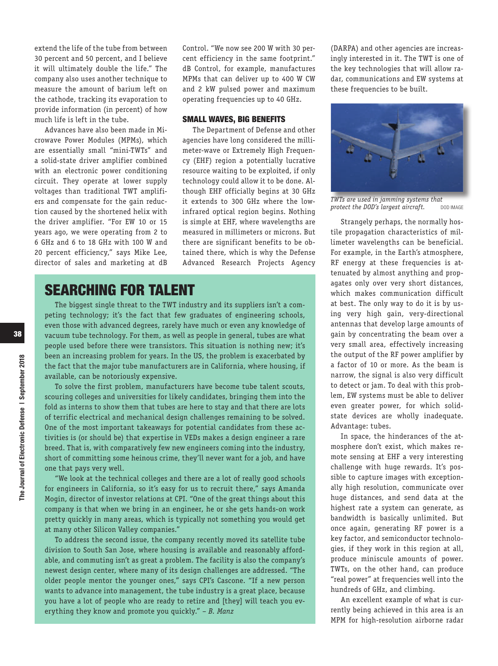extend the life of the tube from between 30 percent and 50 percent, and I believe it will ultimately double the life." The company also uses another technique to measure the amount of barium left on the cathode, tracking its evaporation to provide information (in percent) of how much life is left in the tube.

Advances have also been made in Microwave Power Modules (MPMs), which are essentially small "mini-TWTs" and a solid-state driver amplifier combined with an electronic power conditioning circuit. They operate at lower supply voltages than traditional TWT amplifiers and compensate for the gain reduction caused by the shortened helix with the driver amplifier. "For EW 10 or 15 years ago, we were operating from 2 to 6 GHz and 6 to 18 GHz with 100 W and 20 percent efficiency," says Mike Lee, director of sales and marketing at dB Control. "We now see 200 W with 30 percent efficiency in the same footprint." dB Control, for example, manufactures MPMs that can deliver up to 400 W CW and 2 kW pulsed power and maximum operating frequencies up to 40 GHz.

#### SMALL WAVES, BIG BENEFITS

The Department of Defense and other agencies have long considered the millimeter-wave or Extremely High Frequency (EHF) region a potentially lucrative resource waiting to be exploited, if only technology could allow it to be done. Although EHF officially begins at 30 GHz it extends to 300 GHz where the lowinfrared optical region begins. Nothing is simple at EHF, where wavelengths are measured in millimeters or microns. But there are significant benefits to be obtained there, which is why the Defense Advanced Research Projects Agency

### SEARCHING FOR TALENT

The biggest single threat to the TWT industry and its suppliers isn't a competing technology; it's the fact that few graduates of engineering schools, even those with advanced degrees, rarely have much or even any knowledge of vacuum tube technology. For them, as well as people in general, tubes are what people used before there were transistors. This situation is nothing new; it's been an increasing problem for years. In the US, the problem is exacerbated by the fact that the major tube manufacturers are in California, where housing, if available, can be notoriously expensive.

To solve the first problem, manufacturers have become tube talent scouts, scouring colleges and universities for likely candidates, bringing them into the fold as interns to show them that tubes are here to stay and that there are lots of terrific electrical and mechanical design challenges remaining to be solved. One of the most important takeaways for potential candidates from these activities is (or should be) that expertise in VEDs makes a design engineer a rare breed. That is, with comparatively few new engineers coming into the industry, short of committing some heinous crime, they'll never want for a job, and have one that pays very well.

"We look at the technical colleges and there are a lot of really good schools for engineers in California, so it's easy for us to recruit there," says Amanda Mogin, director of investor relations at CPI. "One of the great things about this company is that when we bring in an engineer, he or she gets hands-on work pretty quickly in many areas, which is typically not something you would get at many other Silicon Valley companies."

To address the second issue, the company recently moved its satellite tube division to South San Jose, where housing is available and reasonably affordable, and commuting isn't as great a problem. The facility is also the company's newest design center, where many of its design challenges are addressed. "The older people mentor the younger ones," says CPI's Cascone. "If a new person wants to advance into management, the tube industry is a great place, because you have a lot of people who are ready to retire and [they] will teach you everything they know and promote you quickly." – *B. Manz*

(DARPA) and other agencies are increasingly interested in it. The TWT is one of the key technologies that will allow radar, communications and EW systems at these frequencies to be built.



*TWTs are used in jamming systems that protect the DOD's largest aircraft.* 

Strangely perhaps, the normally hostile propagation characteristics of millimeter wavelengths can be beneficial. For example, in the Earth's atmosphere, RF energy at these frequencies is attenuated by almost anything and propagates only over very short distances, which makes communication difficult at best. The only way to do it is by using very high gain, very-directional antennas that develop large amounts of gain by concentrating the beam over a very small area, effectively increasing the output of the RF power amplifier by a factor of 10 or more. As the beam is narrow, the signal is also very difficult to detect or jam. To deal with this problem, EW systems must be able to deliver even greater power, for which solidstate devices are wholly inadequate. Advantage: tubes.

In space, the hinderances of the atmosphere don't exist, which makes remote sensing at EHF a very interesting challenge with huge rewards. It's possible to capture images with exceptionally high resolution, communicate over huge distances, and send data at the highest rate a system can generate, as bandwidth is basically unlimited. But once again, generating RF power is a key factor, and semiconductor technologies, if they work in this region at all, produce miniscule amounts of power. TWTs, on the other hand, can produce "real power" at frequencies well into the hundreds of GHz, and climbing.

An excellent example of what is currently being achieved in this area is an MPM for high-resolution airborne radar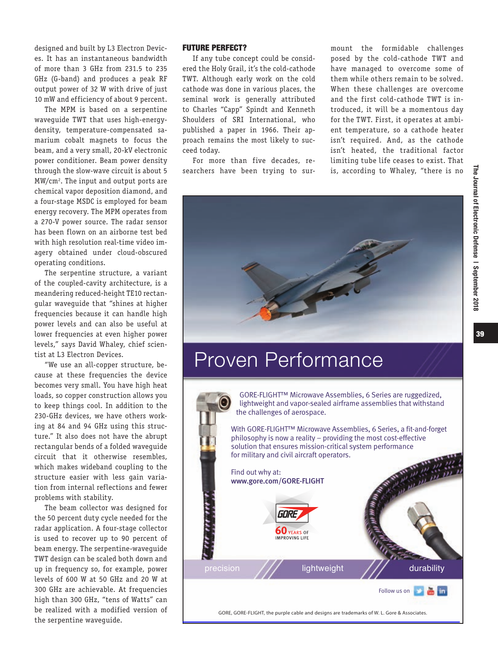designed and built by L3 Electron Devices. It has an instantaneous bandwidth of more than 3 GHz from 231.5 to 235 GHz (G-band) and produces a peak RF output power of 32 W with drive of just 10 mW and efficiency of about 9 percent.

The MPM is based on a serpentine waveguide TWT that uses high-energydensity, temperature-compensated samarium cobalt magnets to focus the beam, and a very small, 20-kV electronic power conditioner. Beam power density through the slow-wave circuit is about 5 MW/cm2 . The input and output ports are chemical vapor deposition diamond, and a four-stage MSDC is employed for beam energy recovery. The MPM operates from a 270-V power source. The radar sensor has been flown on an airborne test bed with high resolution real-time video imagery obtained under cloud-obscured operating conditions.

The serpentine structure, a variant of the coupled-cavity architecture, is a meandering reduced-height TE10 rectangular waveguide that "shines at higher frequencies because it can handle high power levels and can also be useful at lower frequencies at even higher power levels," says David Whaley, chief scientist at L3 Electron Devices.

"We use an all-copper structure, because at these frequencies the device becomes very small. You have high heat loads, so copper construction allows you to keep things cool. In addition to the 230-GHz devices, we have others working at 84 and 94 GHz using this structure." It also does not have the abrupt rectangular bends of a folded waveguide circuit that it otherwise resembles, which makes wideband coupling to the structure easier with less gain variation from internal reflections and fewer problems with stability.

The beam collector was designed for the 50 percent duty cycle needed for the radar application. A four-stage collector is used to recover up to 90 percent of beam energy. The serpentine-waveguide TWT design can be scaled both down and up in frequency so, for example, power levels of 600 W at 50 GHz and 20 W at 300 GHz are achievable. At frequencies high than 300 GHz, "tens of Watts" can be realized with a modified version of the serpentine waveguide.

#### FUTURE PERFECT?

If any tube concept could be considered the Holy Grail, it's the cold-cathode TWT. Although early work on the cold cathode was done in various places, the seminal work is generally attributed to Charles "Capp" Spindt and Kenneth Shoulders of SRI International, who published a paper in 1966. Their approach remains the most likely to succeed today.

For more than five decades, researchers have been trying to surmount the formidable challenges posed by the cold-cathode TWT and have managed to overcome some of them while others remain to be solved. When these challenges are overcome and the first cold-cathode TWT is introduced, it will be a momentous day for the TWT. First, it operates at ambient temperature, so a cathode heater isn't required. And, as the cathode isn't heated, the traditional factor limiting tube life ceases to exist. That is, according to Whaley, "there is no



# [Proven Performance](http://www.jed-digital.com/jedm/0918_september_2018/TrackLink.action?pageName=39&exitLink=http%3A%2F%2Fwww.gore.com%2FGORE-FLIGHT)